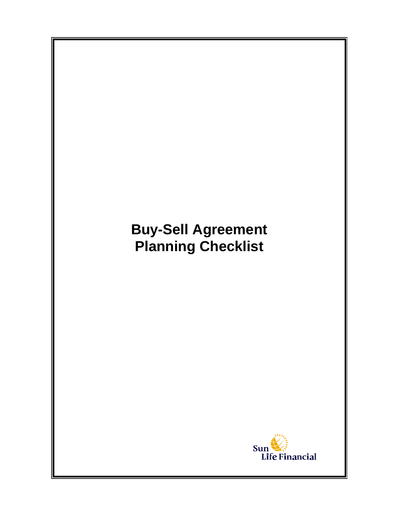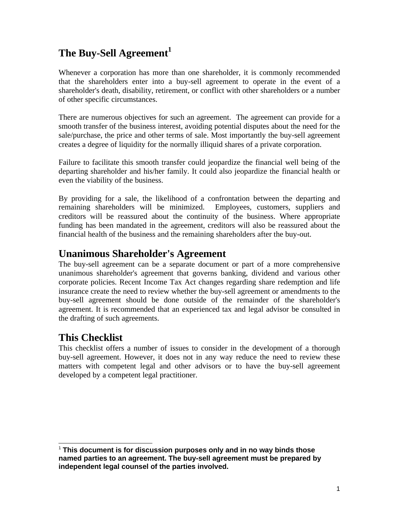# **The Buy-Sell Agreement<sup>1</sup>**

Whenever a corporation has more than one shareholder, it is commonly recommended that the shareholders enter into a buy-sell agreement to operate in the event of a shareholder's death, disability, retirement, or conflict with other shareholders or a number of other specific circumstances.

There are numerous objectives for such an agreement. The agreement can provide for a smooth transfer of the business interest, avoiding potential disputes about the need for the sale/purchase, the price and other terms of sale. Most importantly the buy-sell agreement creates a degree of liquidity for the normally illiquid shares of a private corporation.

Failure to facilitate this smooth transfer could jeopardize the financial well being of the departing shareholder and his/her family. It could also jeopardize the financial health or even the viability of the business.

By providing for a sale, the likelihood of a confrontation between the departing and remaining shareholders will be minimized. Employees, customers, suppliers and creditors will be reassured about the continuity of the business. Where appropriate funding has been mandated in the agreement, creditors will also be reassured about the financial health of the business and the remaining shareholders after the buy-out.

# **Unanimous Shareholder's Agreement**

The buy-sell agreement can be a separate document or part of a more comprehensive unanimous shareholder's agreement that governs banking, dividend and various other corporate policies. Recent Income Tax Act changes regarding share redemption and life insurance create the need to review whether the buy-sell agreement or amendments to the buy-sell agreement should be done outside of the remainder of the shareholder's agreement. It is recommended that an experienced tax and legal advisor be consulted in the drafting of such agreements.

# **This Checklist**

This checklist offers a number of issues to consider in the development of a thorough buy-sell agreement. However, it does not in any way reduce the need to review these matters with competent legal and other advisors or to have the buy-sell agreement developed by a competent legal practitioner.

l <sup>1</sup> **This document is for discussion purposes only and in no way binds those named parties to an agreement. The buy-sell agreement must be prepared by independent legal counsel of the parties involved.**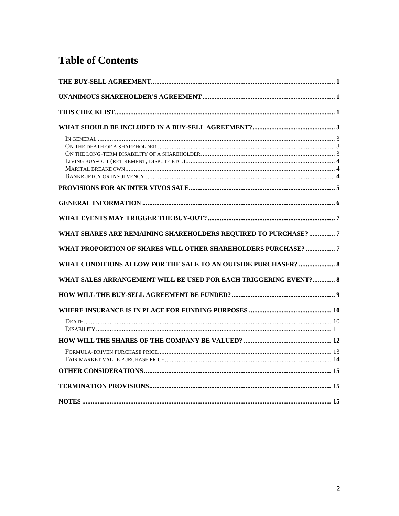# **Table of Contents**

| WHAT SHARES ARE REMAINING SHAREHOLDERS REQUIRED TO PURCHASE? 7   |
|------------------------------------------------------------------|
| WHAT PROPORTION OF SHARES WILL OTHER SHAREHOLDERS PURCHASE? 7    |
| WHAT CONDITIONS ALLOW FOR THE SALE TO AN OUTSIDE PURCHASER?  8   |
| WHAT SALES ARRANGEMENT WILL BE USED FOR EACH TRIGGERING EVENT? 8 |
|                                                                  |
|                                                                  |
|                                                                  |
|                                                                  |
|                                                                  |
|                                                                  |
|                                                                  |
|                                                                  |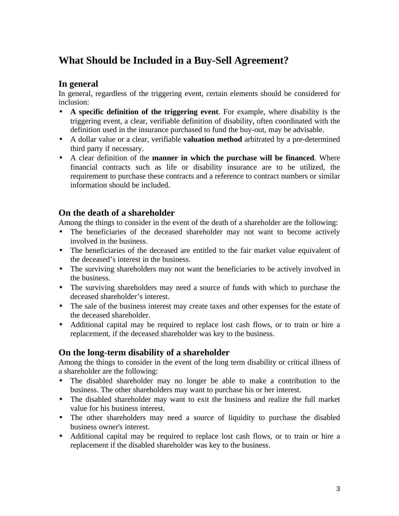# **What Should be Included in a Buy-Sell Agreement?**

### **In general**

In general, regardless of the triggering event, certain elements should be considered for inclusion:

- **A specific definition of the triggering event**. For example, where disability is the triggering event, a clear, verifiable definition of disability, often coordinated with the definition used in the insurance purchased to fund the buy-out, may be advisable.
- A dollar value or a clear, verifiable **valuation method** arbitrated by a pre-determined third party if necessary.
- A clear definition of the **manner in which the purchase will be financed**. Where financial contracts such as life or disability insurance are to be utilized, the requirement to purchase these contracts and a reference to contract numbers or similar information should be included.

## **On the death of a shareholder**

Among the things to consider in the event of the death of a shareholder are the following:

- The beneficiaries of the deceased shareholder may not want to become actively involved in the business.
- The beneficiaries of the deceased are entitled to the fair market value equivalent of the deceased's interest in the business.
- The surviving shareholders may not want the beneficiaries to be actively involved in the business.
- The surviving shareholders may need a source of funds with which to purchase the deceased shareholder's interest.
- The sale of the business interest may create taxes and other expenses for the estate of the deceased shareholder.
- Additional capital may be required to replace lost cash flows, or to train or hire a replacement, if the deceased shareholder was key to the business.

## **On the long-term disability of a shareholder**

Among the things to consider in the event of the long term disability or critical illness of a shareholder are the following:

- The disabled shareholder may no longer be able to make a contribution to the business. The other shareholders may want to purchase his or her interest.
- The disabled shareholder may want to exit the business and realize the full market value for his business interest.
- The other shareholders may need a source of liquidity to purchase the disabled business owner's interest.
- Additional capital may be required to replace lost cash flows, or to train or hire a replacement if the disabled shareholder was key to the business.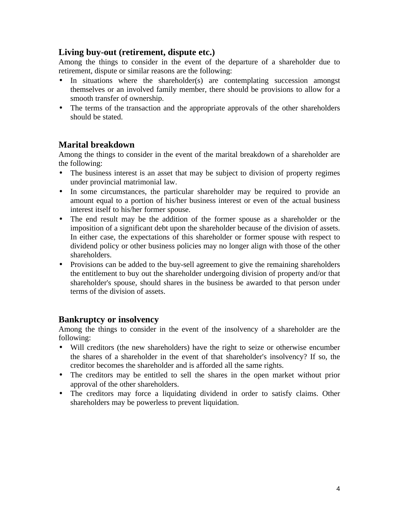### **Living buy-out (retirement, dispute etc.)**

Among the things to consider in the event of the departure of a shareholder due to retirement, dispute or similar reasons are the following:

- In situations where the shareholder(s) are contemplating succession amongst themselves or an involved family member, there should be provisions to allow for a smooth transfer of ownership.
- The terms of the transaction and the appropriate approvals of the other shareholders should be stated.

## **Marital breakdown**

Among the things to consider in the event of the marital breakdown of a shareholder are the following:

- The business interest is an asset that may be subject to division of property regimes under provincial matrimonial law.
- In some circumstances, the particular shareholder may be required to provide an amount equal to a portion of his/her business interest or even of the actual business interest itself to his/her former spouse.
- The end result may be the addition of the former spouse as a shareholder or the imposition of a significant debt upon the shareholder because of the division of assets. In either case, the expectations of this shareholder or former spouse with respect to dividend policy or other business policies may no longer align with those of the other shareholders.
- Provisions can be added to the buy-sell agreement to give the remaining shareholders the entitlement to buy out the shareholder undergoing division of property and/or that shareholder's spouse, should shares in the business be awarded to that person under terms of the division of assets.

## **Bankruptcy or insolvency**

Among the things to consider in the event of the insolvency of a shareholder are the following:

- Will creditors (the new shareholders) have the right to seize or otherwise encumber the shares of a shareholder in the event of that shareholder's insolvency? If so, the creditor becomes the shareholder and is afforded all the same rights.
- The creditors may be entitled to sell the shares in the open market without prior approval of the other shareholders.
- The creditors may force a liquidating dividend in order to satisfy claims. Other shareholders may be powerless to prevent liquidation.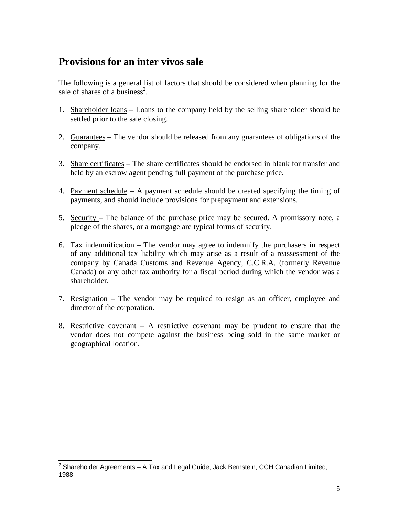# **Provisions for an inter vivos sale**

The following is a general list of factors that should be considered when planning for the sale of shares of a business<sup>2</sup>.

- 1. Shareholder loans Loans to the company held by the selling shareholder should be settled prior to the sale closing.
- 2. Guarantees The vendor should be released from any guarantees of obligations of the company.
- 3. Share certificates The share certificates should be endorsed in blank for transfer and held by an escrow agent pending full payment of the purchase price.
- 4. Payment schedule A payment schedule should be created specifying the timing of payments, and should include provisions for prepayment and extensions.
- 5. Security The balance of the purchase price may be secured. A promissory note, a pledge of the shares, or a mortgage are typical forms of security.
- 6. Tax indemnification The vendor may agree to indemnify the purchasers in respect of any additional tax liability which may arise as a result of a reassessment of the company by Canada Customs and Revenue Agency, C.C.R.A. (formerly Revenue Canada) or any other tax authority for a fiscal period during which the vendor was a shareholder.
- 7. Resignation The vendor may be required to resign as an officer, employee and director of the corporation.
- 8. Restrictive covenant A restrictive covenant may be prudent to ensure that the vendor does not compete against the business being sold in the same market or geographical location.

 2 Shareholder Agreements – A Tax and Legal Guide, Jack Bernstein, CCH Canadian Limited, 1988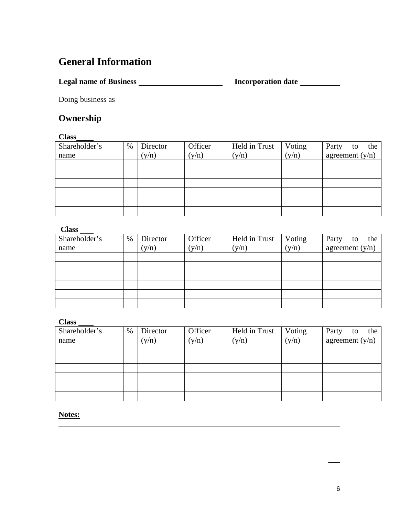# **General Information**

**Legal name of Business Incorporation date** 

Doing business as

## **Ownership**

#### **Class**

| Shareholder's | $\%$ | Director | Officer | Held in Trust | Voting | Party<br>the<br>to |
|---------------|------|----------|---------|---------------|--------|--------------------|
| name          |      | (y/n)    | (y/n)   | (y/n)         | (y/n)  | agreement $(y/n)$  |
|               |      |          |         |               |        |                    |
|               |      |          |         |               |        |                    |
|               |      |          |         |               |        |                    |
|               |      |          |         |               |        |                    |
|               |      |          |         |               |        |                    |
|               |      |          |         |               |        |                    |

#### **Class**

| -----         |      |          |         |               |        |                    |
|---------------|------|----------|---------|---------------|--------|--------------------|
| Shareholder's | $\%$ | Director | Officer | Held in Trust | Voting | the<br>Party<br>to |
| name          |      | (y/n)    | (y/n)   | (y/n)         | (y/n)  | agreement $(y/n)$  |
|               |      |          |         |               |        |                    |
|               |      |          |         |               |        |                    |
|               |      |          |         |               |        |                    |
|               |      |          |         |               |        |                    |
|               |      |          |         |               |        |                    |
|               |      |          |         |               |        |                    |

#### **Class**

| Shareholder's | $\%$ | Director | Officer | Held in Trust | Voting | Party<br>the<br>to |
|---------------|------|----------|---------|---------------|--------|--------------------|
| name          |      | (y/n)    | (y/n)   | (y/n)         | (y/n)  | agreement $(y/n)$  |
|               |      |          |         |               |        |                    |
|               |      |          |         |               |        |                    |
|               |      |          |         |               |        |                    |
|               |      |          |         |               |        |                    |
|               |      |          |         |               |        |                    |
|               |      |          |         |               |        |                    |

\_\_\_

### **Notes:**

 $\overline{a}$  $\overline{a}$  $\overline{a}$  $\overline{a}$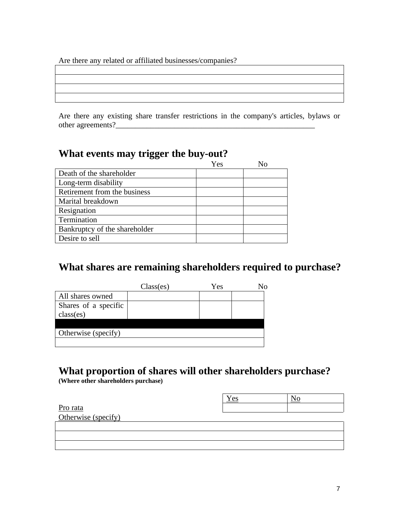Are there any related or affiliated businesses/companies?

Are there any existing share transfer restrictions in the company's articles, bylaws or other agreements?\_\_\_\_\_\_\_\_\_\_\_\_\_\_\_\_\_\_\_\_\_\_\_\_\_\_\_\_\_\_\_\_\_\_\_\_\_\_\_\_\_\_\_\_\_\_\_\_\_\_\_

<u> 1989 - Johann Barn, mars ann an t-Amhain Aonaich an t-Aonaich an t-Aonaich ann an t-Aonaich ann an t-Aonaich</u>

## **What events may trigger the buy-out?**

|                               | Yes |  |
|-------------------------------|-----|--|
| Death of the shareholder      |     |  |
| Long-term disability          |     |  |
| Retirement from the business  |     |  |
| Marital breakdown             |     |  |
| Resignation                   |     |  |
| Termination                   |     |  |
| Bankruptcy of the shareholder |     |  |
| Desire to sell                |     |  |

# **What shares are remaining shareholders required to purchase?**

|                      | Class(es) | Yes | Nο |
|----------------------|-----------|-----|----|
| All shares owned     |           |     |    |
| Shares of a specific |           |     |    |
| class(es)            |           |     |    |
|                      |           |     |    |
| Otherwise (specify)  |           |     |    |
|                      |           |     |    |

# **What proportion of shares will other shareholders purchase?**

**(Where other shareholders purchase)**

|                     | Yes |  |
|---------------------|-----|--|
| Pro rata            |     |  |
| Otherwise (specify) |     |  |
|                     |     |  |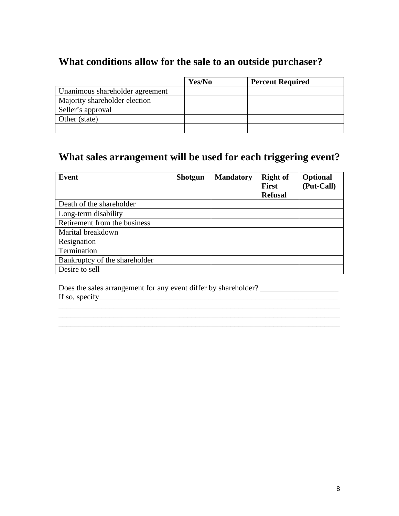# **What conditions allow for the sale to an outside purchaser?**

|                                 | Yes/No | <b>Percent Required</b> |
|---------------------------------|--------|-------------------------|
| Unanimous shareholder agreement |        |                         |
| Majority shareholder election   |        |                         |
| Seller's approval               |        |                         |
| Other (state)                   |        |                         |
|                                 |        |                         |

# **What sales arrangement will be used for each triggering event?**

| Event                         | <b>Shotgun</b> | <b>Mandatory</b> | <b>Right of</b><br><b>First</b> | <b>Optional</b><br>(Put-Call) |
|-------------------------------|----------------|------------------|---------------------------------|-------------------------------|
|                               |                |                  | <b>Refusal</b>                  |                               |
| Death of the shareholder      |                |                  |                                 |                               |
| Long-term disability          |                |                  |                                 |                               |
| Retirement from the business  |                |                  |                                 |                               |
| Marital breakdown             |                |                  |                                 |                               |
| Resignation                   |                |                  |                                 |                               |
| Termination                   |                |                  |                                 |                               |
| Bankruptcy of the shareholder |                |                  |                                 |                               |
| Desire to sell                |                |                  |                                 |                               |

 $\overline{\phantom{a}}$  , and the contribution of the contribution of the contribution of the contribution of the contribution of the contribution of the contribution of the contribution of the contribution of the contribution of the \_\_\_\_\_\_\_\_\_\_\_\_\_\_\_\_\_\_\_\_\_\_\_\_\_\_\_\_\_\_\_\_\_\_\_\_\_\_\_\_\_\_\_\_\_\_\_\_\_\_\_\_\_\_\_\_\_\_\_\_\_\_\_\_\_\_\_\_\_\_\_\_  $\overline{\phantom{a}}$  , and the contribution of the contribution of the contribution of the contribution of the contribution of  $\overline{\phantom{a}}$ 

Does the sales arrangement for any event differ by shareholder? \_\_\_\_\_\_\_\_\_\_\_\_\_\_\_\_\_\_\_\_ If so, specify  $\Box$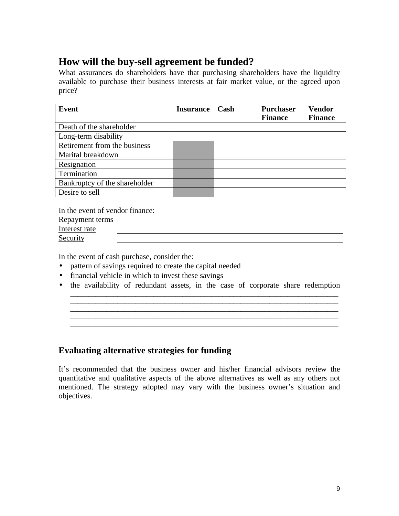# **How will the buy-sell agreement be funded?**

What assurances do shareholders have that purchasing shareholders have the liquidity available to purchase their business interests at fair market value, or the agreed upon price?

| Event                         | <b>Insurance</b> | Cash | <b>Purchaser</b> | <b>Vendor</b>  |
|-------------------------------|------------------|------|------------------|----------------|
|                               |                  |      | <b>Finance</b>   | <b>Finance</b> |
| Death of the shareholder      |                  |      |                  |                |
| Long-term disability          |                  |      |                  |                |
| Retirement from the business  |                  |      |                  |                |
| Marital breakdown             |                  |      |                  |                |
| Resignation                   |                  |      |                  |                |
| Termination                   |                  |      |                  |                |
| Bankruptcy of the shareholder |                  |      |                  |                |
| Desire to sell                |                  |      |                  |                |

In the event of vendor finance:

| <b>Repayment terms</b> |  |
|------------------------|--|
| Interest rate          |  |
| Security               |  |

In the event of cash purchase, consider the:

- pattern of savings required to create the capital needed
- financial vehicle in which to invest these savings
- the availability of redundant assets, in the case of corporate share redemption

\_\_\_\_\_\_\_\_\_\_\_\_\_\_\_\_\_\_\_\_\_\_\_\_\_\_\_\_\_\_\_\_\_\_\_\_\_\_\_\_\_\_\_\_\_\_\_\_\_\_\_\_\_\_\_\_\_\_\_\_\_\_\_\_\_\_\_\_\_\_\_\_\_\_  $\_$  ,  $\_$  ,  $\_$  ,  $\_$  ,  $\_$  ,  $\_$  ,  $\_$  ,  $\_$  ,  $\_$  ,  $\_$  ,  $\_$  ,  $\_$  ,  $\_$  ,  $\_$  ,  $\_$  ,  $\_$  ,  $\_$  ,  $\_$  ,  $\_$  ,  $\_$  ,  $\_$  ,  $\_$  ,  $\_$  ,  $\_$  ,  $\_$  ,  $\_$  ,  $\_$  ,  $\_$  ,  $\_$  ,  $\_$  ,  $\_$  ,  $\_$  ,  $\_$  ,  $\_$  ,  $\_$  ,  $\_$  ,  $\_$  ,

\_\_\_\_\_\_\_\_\_\_\_\_\_\_\_\_\_\_\_\_\_\_\_\_\_\_\_\_\_\_\_\_\_\_\_\_\_\_\_\_\_\_\_\_\_\_\_\_\_\_\_\_\_\_\_\_\_\_\_\_\_\_\_\_\_\_\_\_\_\_\_\_\_\_ \_\_\_\_\_\_\_\_\_\_\_\_\_\_\_\_\_\_\_\_\_\_\_\_\_\_\_\_\_\_\_\_\_\_\_\_\_\_\_\_\_\_\_\_\_\_\_\_\_\_\_\_\_\_\_\_\_\_\_\_\_\_\_\_\_\_\_\_\_\_\_\_\_\_

## **Evaluating alternative strategies for funding**

It's recommended that the business owner and his/her financial advisors review the quantitative and qualitative aspects of the above alternatives as well as any others not mentioned. The strategy adopted may vary with the business owner's situation and objectives.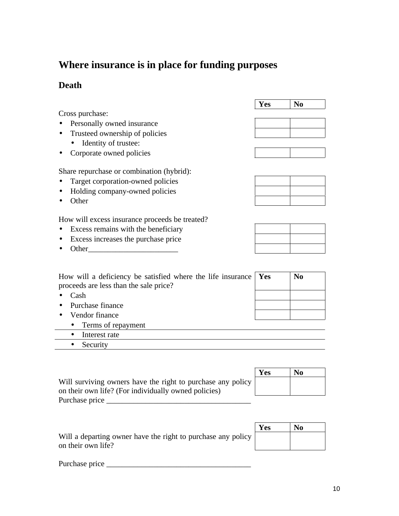# **Where insurance is in place for funding purposes**

## **Death**

Cross purchase:

- Personally owned insurance
- Trusteed ownership of policies
	- Identity of trustee:
- Corporate owned policies

Share repurchase or combination (hybrid):

- Target corporation-owned policies
- Holding company-owned policies
- Other

How will excess insurance proceeds be treated?

- Excess remains with the beneficiary
- Excess increases the purchase price
- Other\_\_\_\_\_\_\_\_\_\_\_\_\_\_\_\_\_\_\_\_\_\_\_

| How will a deficiency be satisfied where the life insurance $\gamma$ Yes |  |
|--------------------------------------------------------------------------|--|
| proceeds are less than the sale price?                                   |  |

- Cash
- Purchase finance
- Vendor finance
	- Terms of repayment
	- Interest rate
	- Security

|                                                             | Yes | No |
|-------------------------------------------------------------|-----|----|
| Will surviving owners have the right to purchase any policy |     |    |
| on their own life? (For individually owned policies)        |     |    |
| Purchase price                                              |     |    |

Will a departing owner have the right to purchase any policy on their own life?

| Yes | Vо |
|-----|----|
|     |    |
|     |    |

Τ

**Yes No** 

| Yes | N <sub>0</sub> |
|-----|----------------|
|     |                |
|     |                |

Purchase price \_\_\_\_\_\_\_\_\_\_\_\_\_\_\_\_\_\_\_\_\_\_\_\_\_\_\_\_\_\_\_\_\_\_\_\_\_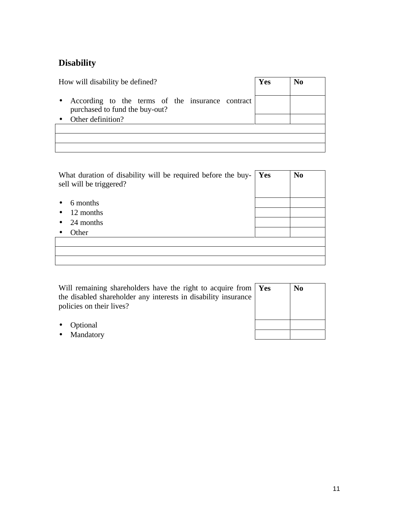# **Disability**

| How will disability be defined?                                                    | Yes | No |
|------------------------------------------------------------------------------------|-----|----|
| According to the terms of the insurance contract<br>purchased to fund the buy-out? |     |    |
| Other definition?                                                                  |     |    |
|                                                                                    |     |    |
|                                                                                    |     |    |
|                                                                                    |     |    |

| What duration of disability will be required before the buy-<br>sell will be triggered? | Yes | N <sub>0</sub> |
|-----------------------------------------------------------------------------------------|-----|----------------|
| 6 months<br>12 months                                                                   |     |                |
| 24 months                                                                               |     |                |
| Other                                                                                   |     |                |
|                                                                                         |     |                |
|                                                                                         |     |                |

Will remaining shareholders have the right to acquire from the disabled shareholder any interests in disability insurance policies on their lives?

| Yes | N <sub>o</sub> |
|-----|----------------|
|     |                |
|     |                |
|     |                |
|     |                |

- Optional
- Mandatory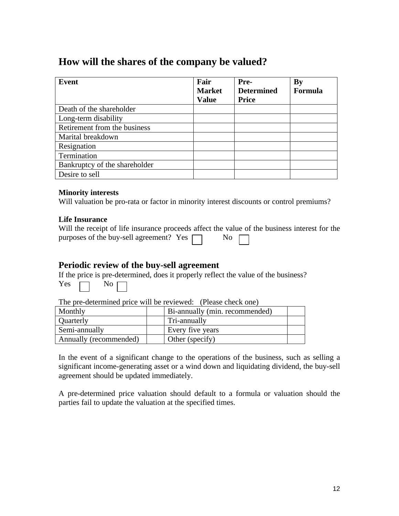# **How will the shares of the company be valued?**

| Event                         | Fair          | Pre-              | <b>By</b> |
|-------------------------------|---------------|-------------------|-----------|
|                               | <b>Market</b> | <b>Determined</b> | Formula   |
|                               | <b>Value</b>  | <b>Price</b>      |           |
| Death of the shareholder      |               |                   |           |
| Long-term disability          |               |                   |           |
| Retirement from the business  |               |                   |           |
| Marital breakdown             |               |                   |           |
| Resignation                   |               |                   |           |
| Termination                   |               |                   |           |
| Bankruptcy of the shareholder |               |                   |           |
| Desire to sell                |               |                   |           |

#### **Minority interests**

Will valuation be pro-rata or factor in minority interest discounts or control premiums?

#### **Life Insurance**

| Will the receipt of life insurance proceeds affect the value of the business interest for the |  |  |  |  |
|-----------------------------------------------------------------------------------------------|--|--|--|--|
| purposes of the buy-sell agreement? Yes $\Box$ No $\Box$                                      |  |  |  |  |

### **Periodic review of the buy-sell agreement**

|  |                      | If the price is pre-determined, does it properly reflect the value of the business? |  |
|--|----------------------|-------------------------------------------------------------------------------------|--|
|  | Yes $\Box$ No $\Box$ |                                                                                     |  |

The pre-determined price will be reviewed: (Please check one)

| Monthly                | Bi-annually (min. recommended) |  |
|------------------------|--------------------------------|--|
| Quarterly              | Tri-annually                   |  |
| Semi-annually          | Every five years               |  |
| Annually (recommended) | Other (specify)                |  |

In the event of a significant change to the operations of the business, such as selling a significant income-generating asset or a wind down and liquidating dividend, the buy-sell agreement should be updated immediately.

A pre-determined price valuation should default to a formula or valuation should the parties fail to update the valuation at the specified times.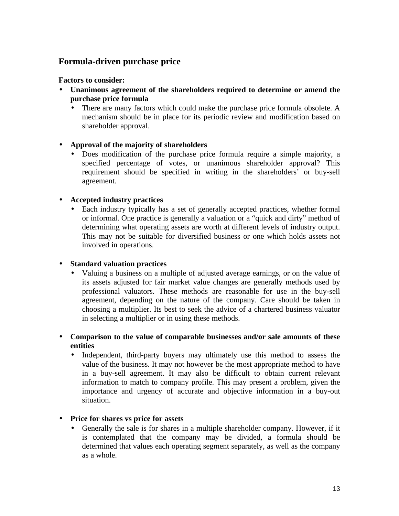## **Formula-driven purchase price**

#### **Factors to consider:**

- **Unanimous agreement of the shareholders required to determine or amend the purchase price formula**
	- There are many factors which could make the purchase price formula obsolete. A mechanism should be in place for its periodic review and modification based on shareholder approval.

### • **Approval of the majority of shareholders**

• Does modification of the purchase price formula require a simple majority, a specified percentage of votes, or unanimous shareholder approval? This requirement should be specified in writing in the shareholders' or buy-sell agreement.

### • **Accepted industry practices**

• Each industry typically has a set of generally accepted practices, whether formal or informal. One practice is generally a valuation or a "quick and dirty" method of determining what operating assets are worth at different levels of industry output. This may not be suitable for diversified business or one which holds assets not involved in operations.

### • **Standard valuation practices**

• Valuing a business on a multiple of adjusted average earnings, or on the value of its assets adjusted for fair market value changes are generally methods used by professional valuators. These methods are reasonable for use in the buy-sell agreement, depending on the nature of the company. Care should be taken in choosing a multiplier. Its best to seek the advice of a chartered business valuator in selecting a multiplier or in using these methods.

### • **Comparison to the value of comparable businesses and/or sale amounts of these entities**

• Independent, third-party buyers may ultimately use this method to assess the value of the business. It may not however be the most appropriate method to have in a buy-sell agreement. It may also be difficult to obtain current relevant information to match to company profile. This may present a problem, given the importance and urgency of accurate and objective information in a buy-out situation.

### • **Price for shares vs price for assets**

• Generally the sale is for shares in a multiple shareholder company. However, if it is contemplated that the company may be divided, a formula should be determined that values each operating segment separately, as well as the company as a whole.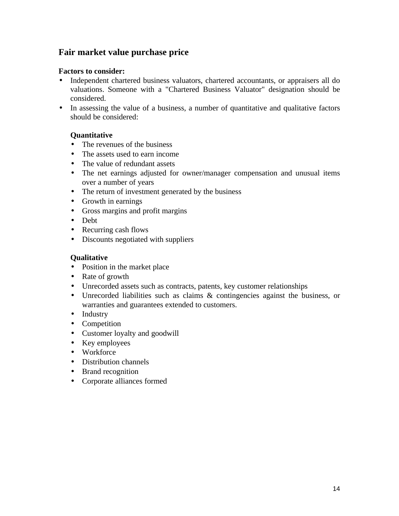## **Fair market value purchase price**

#### **Factors to consider:**

- Independent chartered business valuators, chartered accountants, or appraisers all do valuations. Someone with a "Chartered Business Valuator" designation should be considered.
- In assessing the value of a business, a number of quantitative and qualitative factors should be considered:

#### **Quantitative**

- The revenues of the business
- The assets used to earn income
- The value of redundant assets
- The net earnings adjusted for owner/manager compensation and unusual items over a number of years
- The return of investment generated by the business
- Growth in earnings
- Gross margins and profit margins
- Debt
- Recurring cash flows
- Discounts negotiated with suppliers

#### **Qualitative**

- Position in the market place
- Rate of growth
- Unrecorded assets such as contracts, patents, key customer relationships
- Unrecorded liabilities such as claims & contingencies against the business, or warranties and guarantees extended to customers.
- Industry
- Competition
- Customer loyalty and goodwill
- Key employees
- Workforce
- Distribution channels
- Brand recognition
- Corporate alliances formed